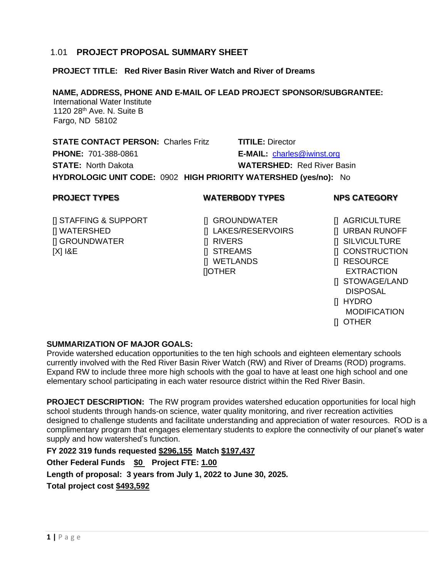#### **1 |** P a g e

#### 1.01 **PROJECT PROPOSAL SUMMARY SHEET**

# **PROJECT TITLE: Red River Basin River Watch and River of Dreams**

# **NAME, ADDRESS, PHONE AND E-MAIL OF LEAD PROJECT SPONSOR/SUBGRANTEE:**

 International Water Institute 1120 28<sup>th</sup> Ave. N. Suite B Fargo, ND 58102

**STATE CONTACT PERSON:** Charles Fritz **TITILE:** Director **PHONE:** 701-388-0861 **E-MAIL:** [charles@iwinst.org](mailto:charles@iwinst.org) **STATE:** North Dakota **WATERSHED:** Red River Basin

**HYDROLOGIC UNIT CODE:** 0902 **HIGH PRIORITY WATERSHED (yes/no):** No

## **PROJECT TYPES WATERBODY TYPES NPS CATEGORY**

- [] STAFFING & SUPPORT [] GROUNDWATER [] AGRICULTURE [] WATERSHED [] LAKES/RESERVOIRS [] URBAN RUNOFF [] GROUNDWATER [] RIVERS [] SILVICULTURE [X] I&E [X] IBE [2] STREAMS [1] CONSTRUCTION
	- [] WETLANDS [] RESOURCE []OTHER EXTRACTION

- 
- 
- 
- 
- 
- 
- [] STOWAGE/LAND DISPOSAL
- [] HYDRO
- **MODIFICATION**
- [] OTHER

## **SUMMARIZATION OF MAJOR GOALS:**

Provide watershed education opportunities to the ten high schools and eighteen elementary schools currently involved with the Red River Basin River Watch (RW) and River of Dreams (ROD) programs. Expand RW to include three more high schools with the goal to have at least one high school and one elementary school participating in each water resource district within the Red River Basin.

**PROJECT DESCRIPTION:** The RW program provides watershed education opportunities for local high school students through hands-on science, water quality monitoring, and river recreation activities designed to challenge students and facilitate understanding and appreciation of water resources. ROD is a complimentary program that engages elementary students to explore the connectivity of our planet's water supply and how watershed's function.

**FY 2022 319 funds requested \$296,155 Match \$197,437 Other Federal Funds \$0 Project FTE: 1.00 Length of proposal: 3 years from July 1, 2022 to June 30, 2025. Total project cost \$493,592**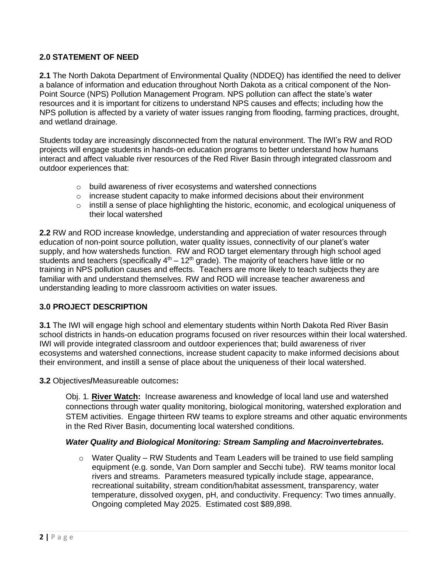## **2.0 STATEMENT OF NEED**

**2.1** The North Dakota Department of Environmental Quality (NDDEQ) has identified the need to deliver a balance of information and education throughout North Dakota as a critical component of the Non-Point Source (NPS) Pollution Management Program. NPS pollution can affect the state's water resources and it is important for citizens to understand NPS causes and effects; including how the NPS pollution is affected by a variety of water issues ranging from flooding, farming practices, drought, and wetland drainage.

Students today are increasingly disconnected from the natural environment. The IWI's RW and ROD projects will engage students in hands-on education programs to better understand how humans interact and affect valuable river resources of the Red River Basin through integrated classroom and outdoor experiences that:

- o build awareness of river ecosystems and watershed connections
- $\circ$  increase student capacity to make informed decisions about their environment
- o instill a sense of place highlighting the historic, economic, and ecological uniqueness of their local watershed

**2.2** RW and ROD increase knowledge, understanding and appreciation of water resources through education of non-point source pollution, water quality issues, connectivity of our planet's water supply, and how watersheds function. RW and ROD target elementary through high school aged students and teachers (specifically  $4<sup>th</sup> - 12<sup>th</sup>$  grade). The majority of teachers have little or no training in NPS pollution causes and effects. Teachers are more likely to teach subjects they are familiar with and understand themselves. RW and ROD will increase teacher awareness and understanding leading to more classroom activities on water issues.

#### **3.0 PROJECT DESCRIPTION**

**3.1** The IWI will engage high school and elementary students within North Dakota Red River Basin school districts in hands-on education programs focused on river resources within their local watershed. IWI will provide integrated classroom and outdoor experiences that; build awareness of river ecosystems and watershed connections, increase student capacity to make informed decisions about their environment, and instill a sense of place about the uniqueness of their local watershed.

**3.2** Objectives**/**Measureable outcomes**:**

Obj. 1*.* **River Watch:** Increase awareness and knowledge of local land use and watershed connections through water quality monitoring, biological monitoring, watershed exploration and STEM activities. Engage thirteen RW teams to explore streams and other aquatic environments in the Red River Basin, documenting local watershed conditions.

#### *Water Quality and Biological Monitoring: Stream Sampling and Macroinvertebrates.*

 $\circ$  Water Quality – RW Students and Team Leaders will be trained to use field sampling equipment (e.g. sonde, Van Dorn sampler and Secchi tube). RW teams monitor local rivers and streams. Parameters measured typically include stage, appearance, recreational suitability, stream condition/habitat assessment, transparency, water temperature, dissolved oxygen, pH, and conductivity. Frequency: Two times annually. Ongoing completed May 2025. Estimated cost \$89,898.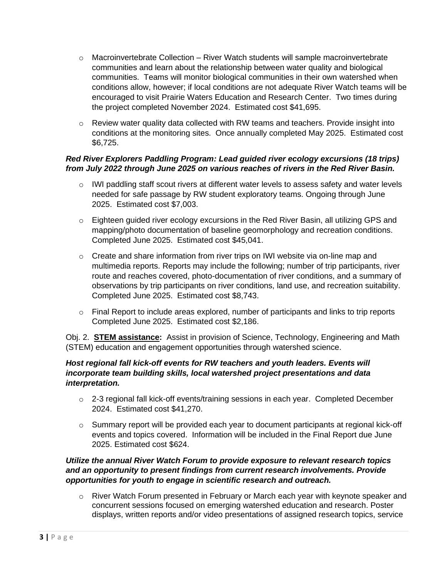- o Macroinvertebrate Collection River Watch students will sample macroinvertebrate communities and learn about the relationship between water quality and biological communities. Teams will monitor biological communities in their own watershed when conditions allow, however; if local conditions are not adequate River Watch teams will be encouraged to visit Prairie Waters Education and Research Center. Two times during the project completed November 2024. Estimated cost \$41,695.
- $\circ$  Review water quality data collected with RW teams and teachers. Provide insight into conditions at the monitoring sites. Once annually completed May 2025. Estimated cost \$6,725.

## *Red River Explorers Paddling Program: Lead guided river ecology excursions (18 trips) from July 2022 through June 2025 on various reaches of rivers in the Red River Basin.*

- $\circ$  IWI paddling staff scout rivers at different water levels to assess safety and water levels needed for safe passage by RW student exploratory teams. Ongoing through June 2025. Estimated cost \$7,003.
- $\circ$  Eighteen guided river ecology excursions in the Red River Basin, all utilizing GPS and mapping/photo documentation of baseline geomorphology and recreation conditions. Completed June 2025. Estimated cost \$45,041.
- $\circ$  Create and share information from river trips on IWI website via on-line map and multimedia reports. Reports may include the following; number of trip participants, river route and reaches covered, photo-documentation of river conditions, and a summary of observations by trip participants on river conditions, land use, and recreation suitability. Completed June 2025. Estimated cost \$8,743.
- $\circ$  Final Report to include areas explored, number of participants and links to trip reports Completed June 2025. Estimated cost \$2,186.

Obj. 2. **STEM assistance:** Assist in provision of Science, Technology, Engineering and Math (STEM) education and engagement opportunities through watershed science.

## *Host regional fall kick-off events for RW teachers and youth leaders. Events will incorporate team building skills, local watershed project presentations and data interpretation.*

- $\circ$  2-3 regional fall kick-off events/training sessions in each year. Completed December 2024. Estimated cost \$41,270.
- $\circ$  Summary report will be provided each year to document participants at regional kick-off events and topics covered. Information will be included in the Final Report due June 2025. Estimated cost \$624.

## *Utilize the annual River Watch Forum to provide exposure to relevant research topics and an opportunity to present findings from current research involvements. Provide opportunities for youth to engage in scientific research and outreach.*

 $\circ$  River Watch Forum presented in February or March each year with keynote speaker and concurrent sessions focused on emerging watershed education and research. Poster displays, written reports and/or video presentations of assigned research topics, service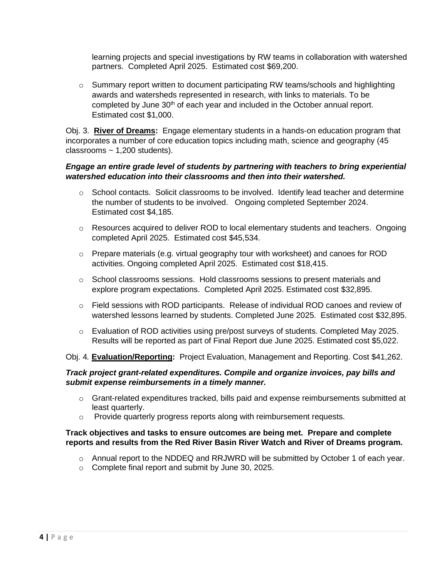learning projects and special investigations by RW teams in collaboration with watershed partners. Completed April 2025. Estimated cost \$69,200.

 $\circ$  Summary report written to document participating RW teams/schools and highlighting awards and watersheds represented in research, with links to materials. To be completed by June 30<sup>th</sup> of each year and included in the October annual report. Estimated cost \$1,000.

Obj. 3. **River of Dreams:** Engage elementary students in a hands-on education program that incorporates a number of core education topics including math, science and geography (45 classrooms  $\sim$  1,200 students).

## *Engage an entire grade level of students by partnering with teachers to bring experiential watershed education into their classrooms and then into their watershed.*

- $\circ$  School contacts. Solicit classrooms to be involved. Identify lead teacher and determine the number of students to be involved. Ongoing completed September 2024. Estimated cost \$4,185.
- $\circ$  Resources acquired to deliver ROD to local elementary students and teachers. Ongoing completed April 2025. Estimated cost \$45,534.
- $\circ$  Prepare materials (e.g. virtual geography tour with worksheet) and canoes for ROD activities. Ongoing completed April 2025. Estimated cost \$18,415.
- $\circ$  School classrooms sessions. Hold classrooms sessions to present materials and explore program expectations. Completed April 2025. Estimated cost \$32,895.
- o Field sessions with ROD participants. Release of individual ROD canoes and review of watershed lessons learned by students. Completed June 2025. Estimated cost \$32,895.
- $\circ$  Evaluation of ROD activities using pre/post surveys of students. Completed May 2025. Results will be reported as part of Final Report due June 2025. Estimated cost \$5,022.

Obj. 4*.* **Evaluation/Reporting:** Project Evaluation, Management and Reporting. Cost \$41,262.

## *Track project grant-related expenditures. Compile and organize invoices, pay bills and submit expense reimbursements in a timely manner.*

- $\circ$  Grant-related expenditures tracked, bills paid and expense reimbursements submitted at least quarterly.
- o Provide quarterly progress reports along with reimbursement requests.

#### **Track objectives and tasks to ensure outcomes are being met. Prepare and complete reports and results from the Red River Basin River Watch and River of Dreams program.**

- $\circ$  Annual report to the NDDEQ and RRJWRD will be submitted by October 1 of each year.
- o Complete final report and submit by June 30, 2025.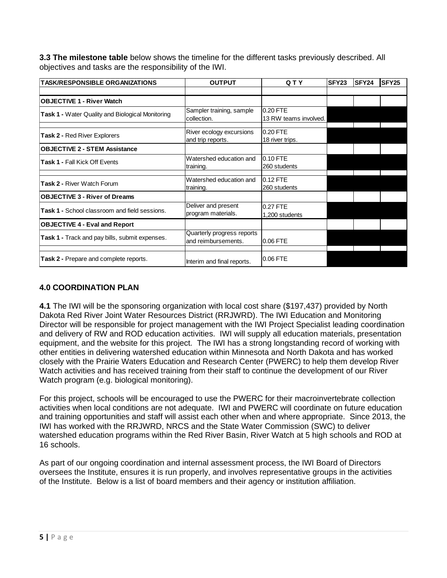**3.3 The milestone table** below shows the timeline for the different tasks previously described. All objectives and tasks are the responsibility of the IWI.

| <b>TASK/RESPONSIBLE ORGANIZATIONS</b>            | QTY<br><b>OUTPUT</b>                              |                                   | <b>SFY23</b> | SFY24 | SFY <sub>25</sub> |
|--------------------------------------------------|---------------------------------------------------|-----------------------------------|--------------|-------|-------------------|
|                                                  |                                                   |                                   |              |       |                   |
| <b>OBJECTIVE 1 - River Watch</b>                 |                                                   |                                   |              |       |                   |
| Task 1 - Water Quality and Biological Monitoring | Sampler training, sample<br>collection.           | 0.20 FTE<br>13 RW teams involved. |              |       |                   |
| <b>Task 2 - Red River Explorers</b>              | River ecology excursions<br>and trip reports.     | 0.20 FTE<br>18 river trips.       |              |       |                   |
| <b>OBJECTIVE 2 - STEM Assistance</b>             |                                                   |                                   |              |       |                   |
| <b>Task 1 - Fall Kick Off Events</b>             | Watershed education and<br>training.              | 0.10 FTE<br>260 students          |              |       |                   |
| Task 2 - River Watch Forum                       | Watershed education and<br>training.              | $0.12$ FTE<br>260 students        |              |       |                   |
| <b>OBJECTIVE 3 - River of Dreams</b>             |                                                   |                                   |              |       |                   |
| Task 1 - School classroom and field sessions.    | Deliver and present<br>program materials.         | 0.27 FTE<br>1,200 students        |              |       |                   |
| <b>OBJECTIVE 4 - Eval and Report</b>             |                                                   |                                   |              |       |                   |
| Task 1 - Track and pay bills, submit expenses.   | Quarterly progress reports<br>and reimbursements. | 0.06 FTE                          |              |       |                   |
| Task 2 - Prepare and complete reports.           | Interim and final reports.                        | 0.06 FTE                          |              |       |                   |

## **4.0 COORDINATION PLAN**

**4.1** The IWI will be the sponsoring organization with local cost share (\$197,437) provided by North Dakota Red River Joint Water Resources District (RRJWRD). The IWI Education and Monitoring Director will be responsible for project management with the IWI Project Specialist leading coordination and delivery of RW and ROD education activities. IWI will supply all education materials, presentation equipment, and the website for this project. The IWI has a strong longstanding record of working with other entities in delivering watershed education within Minnesota and North Dakota and has worked closely with the Prairie Waters Education and Research Center (PWERC) to help them develop River Watch activities and has received training from their staff to continue the development of our River Watch program (e.g. biological monitoring).

For this project, schools will be encouraged to use the PWERC for their macroinvertebrate collection activities when local conditions are not adequate. IWI and PWERC will coordinate on future education and training opportunities and staff will assist each other when and where appropriate. Since 2013, the IWI has worked with the RRJWRD, NRCS and the State Water Commission (SWC) to deliver watershed education programs within the Red River Basin, River Watch at 5 high schools and ROD at 16 schools.

As part of our ongoing coordination and internal assessment process, the IWI Board of Directors oversees the Institute, ensures it is run properly, and involves representative groups in the activities of the Institute. Below is a list of board members and their agency or institution affiliation.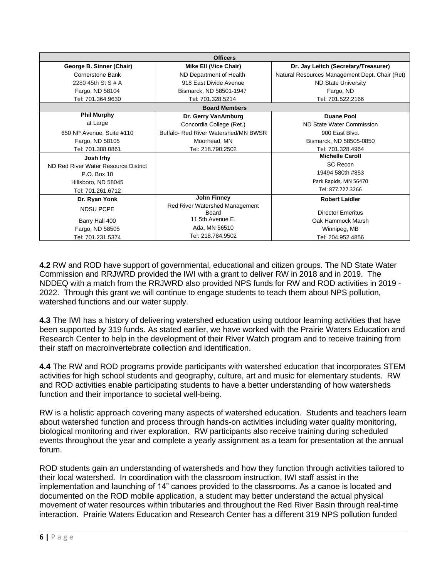| <b>Officers</b>                      |                                      |                                                |  |  |
|--------------------------------------|--------------------------------------|------------------------------------------------|--|--|
| George B. Sinner (Chair)             | <b>Mike Ell (Vice Chair)</b>         | Dr. Jay Leitch (Secretary/Treasurer)           |  |  |
| Cornerstone Bank                     | ND Department of Health              | Natural Resources Management Dept. Chair (Ret) |  |  |
| 2280 45th St S # A                   | 918 East Divide Avenue               | <b>ND State University</b>                     |  |  |
| Fargo, ND 58104                      | Bismarck, ND 58501-1947              | Fargo, ND                                      |  |  |
| Tel: 701.364.9630                    | Tel: 701.328.5214                    | Tel: 701.522.2166                              |  |  |
| <b>Board Members</b>                 |                                      |                                                |  |  |
| <b>Phil Murphy</b>                   | Dr. Gerry VanAmburg                  | <b>Duane Pool</b>                              |  |  |
| at Large                             | Concordia College (Ret.)             | ND State Water Commission                      |  |  |
| 650 NP Avenue, Suite #110            | Buffalo- Red River Watershed/MN BWSR | 900 East Blvd.                                 |  |  |
| Fargo, ND 58105                      | Moorhead, MN                         | Bismarck, ND 58505-0850                        |  |  |
| Tel: 701.388.0861                    | Tel: 218.790.2502                    | Tel: 701.328.4964                              |  |  |
| Josh Irhy                            |                                      | <b>Michelle Caroll</b>                         |  |  |
| ND Red River Water Resource District |                                      | <b>SC Recon</b>                                |  |  |
| P.O. Box 10                          |                                      | 19494 580th #853                               |  |  |
| Hillsboro, ND 58045                  |                                      | Park Rapids, MN 56470                          |  |  |
| Tel: 701.261.6712                    |                                      | Tel: 877.727.3266                              |  |  |
| Dr. Ryan Yonk                        | John Finney                          | <b>Robert Laidler</b>                          |  |  |
| <b>NDSU PCPE</b>                     | Red River Watershed Management       |                                                |  |  |
|                                      | Board                                | <b>Director Emeritus</b>                       |  |  |
| Barry Hall 400                       | 11 5th Avenue E.                     | Oak Hammock Marsh                              |  |  |
| Fargo, ND 58505                      | Ada, MN 56510                        | Winnipeg, MB                                   |  |  |
| Tel: 701.231.5374                    | Tel: 218.784.9502                    | Tel: 204.952.4856                              |  |  |

**4.2** RW and ROD have support of governmental, educational and citizen groups. The ND State Water Commission and RRJWRD provided the IWI with a grant to deliver RW in 2018 and in 2019. The NDDEQ with a match from the RRJWRD also provided NPS funds for RW and ROD activities in 2019 - 2022. Through this grant we will continue to engage students to teach them about NPS pollution, watershed functions and our water supply.

**4.3** The IWI has a history of delivering watershed education using outdoor learning activities that have been supported by 319 funds. As stated earlier, we have worked with the Prairie Waters Education and Research Center to help in the development of their River Watch program and to receive training from their staff on macroinvertebrate collection and identification.

**4.4** The RW and ROD programs provide participants with watershed education that incorporates STEM activities for high school students and geography, culture, art and music for elementary students. RW and ROD activities enable participating students to have a better understanding of how watersheds function and their importance to societal well-being.

RW is a holistic approach covering many aspects of watershed education. Students and teachers learn about watershed function and process through hands-on activities including water quality monitoring, biological monitoring and river exploration. RW participants also receive training during scheduled events throughout the year and complete a yearly assignment as a team for presentation at the annual forum.

ROD students gain an understanding of watersheds and how they function through activities tailored to their local watershed. In coordination with the classroom instruction, IWI staff assist in the implementation and launching of 14" canoes provided to the classrooms. As a canoe is located and documented on the ROD mobile application, a student may better understand the actual physical movement of water resources within tributaries and throughout the Red River Basin through real-time interaction. Prairie Waters Education and Research Center has a different 319 NPS pollution funded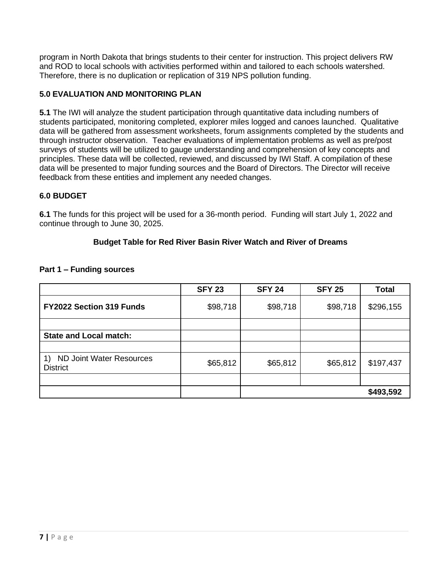program in North Dakota that brings students to their center for instruction. This project delivers RW and ROD to local schools with activities performed within and tailored to each schools watershed. Therefore, there is no duplication or replication of 319 NPS pollution funding.

## **5.0 EVALUATION AND MONITORING PLAN**

**5.1** The IWI will analyze the student participation through quantitative data including numbers of students participated, monitoring completed, explorer miles logged and canoes launched. Qualitative data will be gathered from assessment worksheets, forum assignments completed by the students and through instructor observation. Teacher evaluations of implementation problems as well as pre/post surveys of students will be utilized to gauge understanding and comprehension of key concepts and principles. These data will be collected, reviewed, and discussed by IWI Staff. A compilation of these data will be presented to major funding sources and the Board of Directors. The Director will receive feedback from these entities and implement any needed changes.

## **6.0 BUDGET**

**6.1** The funds for this project will be used for a 36-month period. Funding will start July 1, 2022 and continue through to June 30, 2025.

#### **Budget Table for Red River Basin River Watch and River of Dreams**

|                                                    | <b>SFY 23</b> | <b>SFY 24</b> | <b>SFY 25</b> | <b>Total</b> |
|----------------------------------------------------|---------------|---------------|---------------|--------------|
| FY2022 Section 319 Funds                           | \$98,718      | \$98,718      | \$98,718      | \$296,155    |
|                                                    |               |               |               |              |
| <b>State and Local match:</b>                      |               |               |               |              |
|                                                    |               |               |               |              |
| <b>ND Joint Water Resources</b><br><b>District</b> | \$65,812      | \$65,812      | \$65,812      | \$197,437    |
|                                                    |               |               |               |              |
|                                                    |               |               |               | \$493,592    |

#### **Part 1 – Funding sources**